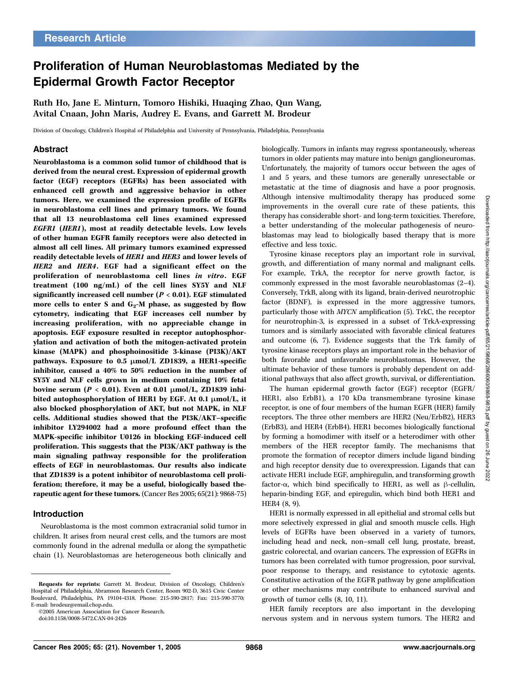# Proliferation of Human Neuroblastomas Mediated by the Epidermal Growth Factor Receptor

Ruth Ho, Jane E. Minturn, Tomoro Hishiki, Huaqing Zhao, Qun Wang, Avital Cnaan, John Maris, Audrey E. Evans, and Garrett M. Brodeur

Division of Oncology, Children's Hospital of Philadelphia and University of Pennsylvania, Philadelphia, Pennsylvania

### Abstract

Neuroblastoma is a common solid tumor of childhood that is derived from the neural crest. Expression of epidermal growth factor (EGF) receptors (EGFRs) has been associated with enhanced cell growth and aggressive behavior in other tumors. Here, we examined the expression profile of EGFRs in neuroblastoma cell lines and primary tumors. We found that all 13 neuroblastoma cell lines examined expressed EGFR1 (HER1), most at readily detectable levels. Low levels of other human EGFR family receptors were also detected in almost all cell lines. All primary tumors examined expressed readily detectable levels of HER1 and HER3 and lower levels of HER2 and HER4. EGF had a significant effect on the proliferation of neuroblastoma cell lines in vitro. EGF treatment (100 ng/mL) of the cell lines SY5Y and NLF significantly increased cell number ( $P < 0.01$ ). EGF stimulated more cells to enter S and  $G_2$ -M phase, as suggested by flow cytometry, indicating that EGF increases cell number by increasing proliferation, with no appreciable change in apoptosis. EGF exposure resulted in receptor autophosphorylation and activation of both the mitogen-activated protein kinase (MAPK) and phosphoinositide 3-kinase (PI3K)/AKT pathways. Exposure to  $0.5 \text{ }\mu\text{mol/L}$  ZD1839, a HER1-specific inhibitor, caused a 40% to 50% reduction in the number of SY5Y and NLF cells grown in medium containing 10% fetal bovine serum ( $P < 0.01$ ). Even at 0.01  $\mu$ mol/L, ZD1839 inhibited autophosphorylation of HER1 by EGF. At 0.1  $\mu$ mol/L, it also blocked phosphorylation of AKT, but not MAPK, in NLF cells. Additional studies showed that the PI3K/AKT–specific inhibitor LY294002 had a more profound effect than the MAPK-specific inhibitor U0126 in blocking EGF-induced cell proliferation. This suggests that the PI3K/AKT pathway is the main signaling pathway responsible for the proliferation effects of EGF in neuroblastomas. Our results also indicate that ZD1839 is a potent inhibitor of neuroblastoma cell proliferation; therefore, it may be a useful, biologically based therapeutic agent for these tumors. (Cancer Res 2005; 65(21): 9868-75)

#### Introduction

Neuroblastoma is the most common extracranial solid tumor in children. It arises from neural crest cells, and the tumors are most commonly found in the adrenal medulla or along the sympathetic chain (1). Neuroblastomas are heterogeneous both clinically and

©2005 American Association for Cancer Research.

doi:10.1158/0008-5472.CAN-04-2426

biologically. Tumors in infants may regress spontaneously, whereas tumors in older patients may mature into benign ganglioneuromas. Unfortunately, the majority of tumors occur between the ages of 1 and 5 years, and these tumors are generally unresectable or metastatic at the time of diagnosis and have a poor prognosis. Although intensive multimodality therapy has produced some improvements in the overall cure rate of these patients, this therapy has considerable short- and long-term toxicities. Therefore, a better understanding of the molecular pathogenesis of neuroblastomas may lead to biologically based therapy that is more effective and less toxic.

Tyrosine kinase receptors play an important role in survival, growth, and differentiation of many normal and malignant cells. For example, TrkA, the receptor for nerve growth factor, is commonly expressed in the most favorable neuroblastomas (2–4). Conversely, TrkB, along with its ligand, brain-derived neurotrophic factor (BDNF), is expressed in the more aggressive tumors, particularly those with MYCN amplification (5). TrkC, the receptor for neurotrophin-3, is expressed in a subset of TrkA-expressing tumors and is similarly associated with favorable clinical features and outcome (6, 7). Evidence suggests that the Trk family of tyrosine kinase receptors plays an important role in the behavior of both favorable and unfavorable neuroblastomas. However, the ultimate behavior of these tumors is probably dependent on additional pathways that also affect growth, survival, or differentiation.

The human epidermal growth factor (EGF) receptor (EGFR/ HER1, also ErbB1), a 170 kDa transmembrane tyrosine kinase receptor, is one of four members of the human EGFR (HER) family receptors. The three other members are HER2 (Neu/ErbB2), HER3 (ErbB3), and HER4 (ErbB4). HER1 becomes biologically functional by forming a homodimer with itself or a heterodimer with other members of the HER receptor family. The mechanisms that promote the formation of receptor dimers include ligand binding and high receptor density due to overexpression. Ligands that can activate HER1 include EGF, amphiregulin, and transforming growth factor- $\alpha$ , which bind specifically to HER1, as well as  $\beta$ -cellulin, heparin-binding EGF, and epiregulin, which bind both HER1 and HER4 (8, 9).

HER1 is normally expressed in all epithelial and stromal cells but more selectively expressed in glial and smooth muscle cells. High levels of EGFRs have been observed in a variety of tumors, including head and neck, non–small cell lung, prostate, breast, gastric colorectal, and ovarian cancers. The expression of EGFRs in tumors has been correlated with tumor progression, poor survival, poor response to therapy, and resistance to cytotoxic agents. Constitutive activation of the EGFR pathway by gene amplification or other mechanisms may contribute to enhanced survival and growth of tumor cells (8, 10, 11).

HER family receptors are also important in the developing nervous system and in nervous system tumors. The HER2 and

Requests for reprints: Garrett M. Brodeur, Division of Oncology, Children's Hospital of Philadelphia, Abramson Research Center, Room 902-D, 3615 Civic Center Boulevard, Philadelphia, PA 19104-4318. Phone: 215-590-2817; Fax: 215-590-3770; E-mail: brodeur@email.chop.edu.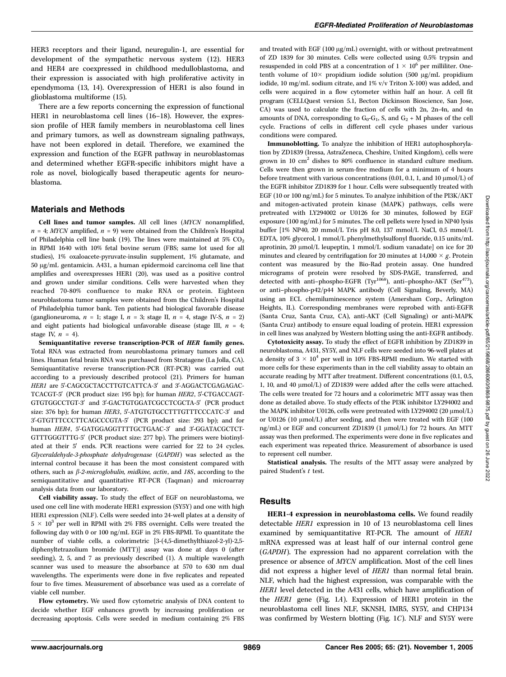HER3 receptors and their ligand, neuregulin-1, are essential for development of the sympathetic nervous system (12). HER3 and HER4 are coexpressed in childhood medulloblastoma, and their expression is associated with high proliferative activity in ependymoma (13, 14). Overexpression of HER1 is also found in glioblastoma multiforme (15).

There are a few reports concerning the expression of functional HER1 in neuroblastoma cell lines (16–18). However, the expression profile of HER family members in neuroblastoma cell lines and primary tumors, as well as downstream signaling pathways, have not been explored in detail. Therefore, we examined the expression and function of the EGFR pathway in neuroblastomas and determined whether EGFR-specific inhibitors might have a role as novel, biologically based therapeutic agents for neuroblastoma.

## Materials and Methods

Cell lines and tumor samples. All cell lines (MYCN nonamplified,  $n = 4$ ; MYCN amplified,  $n = 9$ ) were obtained from the Children's Hospital of Philadelphia cell line bank (19). The lines were maintained at 5%  $CO<sub>2</sub>$ in RPMI 1640 with 10% fetal bovine serum (FBS; same lot used for all studies), 1% oxaloacete-pyruvate-insulin supplement, 1% glutamate, and 50 Ag/mL gentamicin. A431, a human epidermoid carcinoma cell line that amplifies and overexpresses HER1 (20), was used as a positive control and grown under similar conditions. Cells were harvested when they reached 70-80% confluence to make RNA or protein. Eighteen neuroblastoma tumor samples were obtained from the Children's Hospital of Philadelphia tumor bank. Ten patients had biological favorable disease (ganglioneuroma,  $n = 1$ ; stage I,  $n = 3$ ; stage II,  $n = 4$ , stage IV-S,  $n = 2$ ) and eight patients had biological unfavorable disease (stage III,  $n = 4$ ; stage IV,  $n = 4$ ).

Semiquantitative reverse transcription-PCR of HER family genes. Total RNA was extracted from neuroblastoma primary tumors and cell lines. Human fetal brain RNA was purchased from Stratagene (La Jolla, CA). Semiquantitative reverse transcription-PCR (RT-PCR) was carried out according to a previously described protocol (21). Primers for human HER1 are 5'-CAGCGCTACCTTGTCATTCA-3' and 3'-AGGACTCGAGAGAC-TCACGT-5' (PCR product size: 195 bp); for human HER2, 5'-CTGACCAGT-GTGTGGCCTGT-3' and 3'-GACTGTGGATCGCCTCGCTA-5' (PCR product size: 376 bp); for human HER3, 5'-ATGTGTGCCTTTGTTTCCCATC-3' and 3'-GTGTTTCCCTTCAGCCCGTA-5' (PCR product size: 293 bp); and for human HER4, 5'-GATGGAGGTTTTGCTGAAC-3' and 3'-GGATACGCTCT-GTTTGGGTTTG-5' (PCR product size: 277 bp). The primers were biotinylated at their 5' ends. PCR reactions were carried for 22 to 24 cycles. Glyceraldehyde-3-phosphate dehydrogenase (GAPDH) was selected as the internal control because it has been the most consistent compared with others, such as  $\beta$ -2-microglobulin, midkine, actin, and 18S, according to the semiquantitative and quantitative RT-PCR (Taqman) and microarray analysis data from our laboratory.

Cell viability assay. To study the effect of EGF on neuroblastoma, we used one cell line with moderate HER1 expression (SY5Y) and one with high HER1 expression (NLF). Cells were seeded into 24-well plates at a density of  $5 \times 10^3$  per well in RPMI with 2% FBS overnight. Cells were treated the following day with 0 or 100 ng/mL EGF in 2% FBS-RPMI. To quantitate the number of viable cells, a colorimetric [3-(4,5-dimethylthiazol-2-yl)-2,5 diphenyltetrazolium bromide (MTT)] assay was done at days 0 (after seeding), 2, 5, and 7 as previously described (1). A multiple wavelength scanner was used to measure the absorbance at 570 to 630 nm dual wavelengths. The experiments were done in five replicates and repeated four to five times. Measurement of absorbance was used as a correlate of viable cell number.

Flow cytometry. We used flow cytometric analysis of DNA content to decide whether EGF enhances growth by increasing proliferation or decreasing apoptosis. Cells were seeded in medium containing 2% FBS

and treated with EGF (100  $\mu$ g/mL) overnight, with or without pretreatment of ZD 1839 for 30 minutes. Cells were collected using 0.5% trypsin and resuspended in cold PBS at a concentration of  $1 \times 10^6$  per milliliter. Onetenth volume of  $10 \times$  propidium iodide solution (500  $\mu$ g/mL propidium iodide, 10 mg/mL sodium citrate, and 1% v/v Triton X-100) was added, and cells were acquired in a flow cytometer within half an hour. A cell fit program (CELLQuest version 5.1, Becton Dickinson Bioscience, San Jose, CA) was used to calculate the fraction of cells with 2n, 2n-4n, and 4n amounts of DNA, corresponding to  $G_0-G_1$ , S, and  $G_2 + M$  phases of the cell cycle. Fractions of cells in different cell cycle phases under various conditions were compared.

Immunoblotting. To analyze the inhibition of HER1 autophosphorylation by ZD1839 (Iressa, AstraZeneca, Cheshire, United Kingdom), cells were grown in 10 cm2 dishes to 80% confluence in standard culture medium. Cells were then grown in serum-free medium for a minimum of 4 hours before treatment with various concentrations  $(0.01, 0.1, 1,$  and  $10 \mu \text{mol/L})$  of the EGFR inhibitor ZD1839 for 1 hour. Cells were subsequently treated with EGF (10 or 100 ng/mL) for 5 minutes. To analyze inhibition of the PI3K/AKT and mitogen-activated protein kinase (MAPK) pathways, cells were pretreated with LY294002 or U0126 for 30 minutes, followed by EGF exposure (100 ng/mL) for 5 minutes. The cell pellets were lysed in NP40 lysis buffer [1% NP40, 20 mmol/L Tris pH 8.0, 137 mmol/L NaCl, 0.5 mmol/L EDTA, 10% glycerol, 1 mmol/L phenylmethylsulfonyl fluoride, 0.15 units/mL aprotinin, 20  $\mu$ mol/L leupeptin, 1 mmol/L sodium vanadate] on ice for 20 minutes and cleared by centrifugation for 20 minutes at 14,000  $\times$  g. Protein content was measured by the Bio-Rad protein assay. One hundred micrograms of protein were resolved by SDS-PAGE, transferred, and detected with anti-phospho-EGFR (Tyr<sup>1068</sup>), anti-phospho-AKT (Ser<sup>473</sup>), or anti–phospho-p42/p44 MAPK antibody (Cell Signaling, Beverly, MA) using an ECL chemiluminescence system (Amersham Corp., Arlington Heights, IL). Corresponding membranes were reprobed with anti-EGFR (Santa Cruz, Santa Cruz, CA), anti-AKT (Cell Signaling) or anti-MAPK (Santa Cruz) antibody to ensure equal loading of protein. HER1 expression in cell lines was analyzed by Western blotting using the anti-EGFR antibody.

Cytotoxicity assay. To study the effect of EGFR inhibition by ZD1839 in neuroblastoma, A431, SY5Y, and NLF cells were seeded into 96-well plates at a density of  $3 \times 10^4$  per well in 10% FBS-RPMI medium. We started with more cells for these experiments than in the cell viability assay to obtain an accurate reading by MTT after treatment. Different concentrations (0.1, 0.5, 1, 10, and 40  $\mu$ mol/L) of ZD1839 were added after the cells were attached. The cells were treated for 72 hours and a colorimetric MTT assay was then done as detailed above. To study effects of the PI3K inhibitor LY294002 and the MAPK inhibitor U0126, cells were pretreated with LY294002 (20  $\mu$ mol/L) or U0126 (10  $\mu$ mol/L) after seeding, and then were treated with EGF (100 ng/mL) or EGF and concurrent ZD1839 (1 μmol/L) for 72 hours. An MTT assay was then preformed. The experiments were done in five replicates and each experiment was repeated thrice. Measurement of absorbance is used to represent cell number.

Statistical analysis. The results of the MTT assay were analyzed by paired Student's t test.

## **Results**

HER1-4 expression in neuroblastoma cells. We found readily detectable HER1 expression in 10 of 13 neuroblastoma cell lines examined by semiquantitative RT-PCR. The amount of HER1 mRNA expressed was at least half of our internal control gene (GAPDH). The expression had no apparent correlation with the presence or absence of MYCN amplification. Most of the cell lines did not express a higher level of HER1 than normal fetal brain. NLF, which had the highest expression, was comparable with the HER1 level detected in the A431 cells, which have amplification of the HER1 gene (Fig. 1A). Expression of HER1 protein in the neuroblastoma cell lines NLF, SKNSH, IMR5, SY5Y, and CHP134 was confirmed by Western blotting (Fig. 1C). NLF and SY5Y were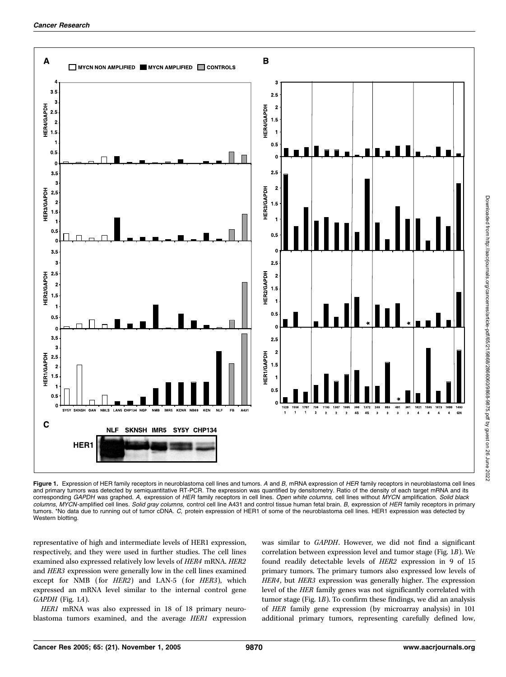

Figure 1. Expression of HER family receptors in neuroblastoma cell lines and tumors. A and B, mRNA expression of HER family receptors in neuroblastoma cell lines and primary tumors was detected by semiquantitative RT-PCR. The expression was quantified by densitometry. Ratio of the density of each target mRNA and its corresponding GAPDH was graphed. A, expression of HER family receptors in cell lines. Open white columns, cell lines without MYCN amplification. Solid black columns, MYCN-amplified cell lines. Solid gray columns, control cell line A431 and control tissue human fetal brain. B, expression of HER family receptors in primary tumors. \*No data due to running out of tumor cDNA. C, protein expression of HER1 of some of the neuroblastoma cell lines. HER1 expression was detected by Western blotting.

representative of high and intermediate levels of HER1 expression, respectively, and they were used in further studies. The cell lines examined also expressed relatively low levels of HER4 mRNA. HER2 and HER3 expression were generally low in the cell lines examined except for NMB (for HER2) and LAN-5 (for HER3), which expressed an mRNA level similar to the internal control gene GAPDH (Fig. 1A).

HER1 mRNA was also expressed in 18 of 18 primary neuroblastoma tumors examined, and the average HER1 expression was similar to GAPDH. However, we did not find a significant correlation between expression level and tumor stage (Fig. 1B). We found readily detectable levels of HER2 expression in 9 of 15 primary tumors. The primary tumors also expressed low levels of HER4, but HER3 expression was generally higher. The expression level of the HER family genes was not significantly correlated with tumor stage (Fig. 1B). To confirm these findings, we did an analysis of HER family gene expression (by microarray analysis) in 101 additional primary tumors, representing carefully defined low,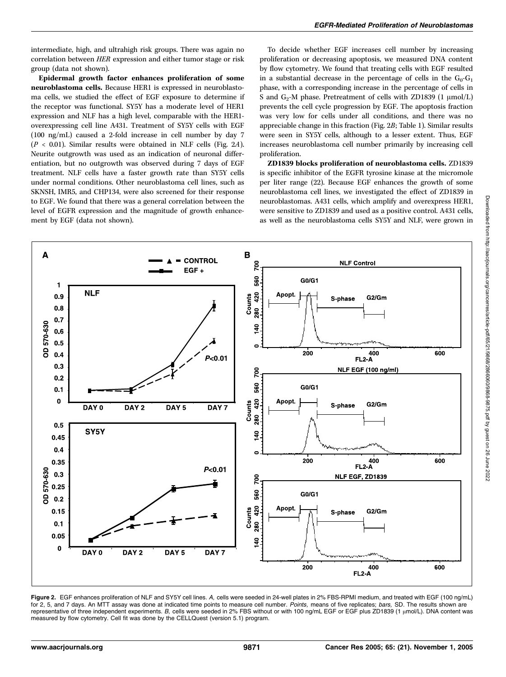intermediate, high, and ultrahigh risk groups. There was again no correlation between HER expression and either tumor stage or risk group (data not shown).

Epidermal growth factor enhances proliferation of some neuroblastoma cells. Because HER1 is expressed in neuroblastoma cells, we studied the effect of EGF exposure to determine if the receptor was functional. SY5Y has a moderate level of HER1 expression and NLF has a high level, comparable with the HER1 overexpressing cell line A431. Treatment of SY5Y cells with EGF (100 ng/mL) caused a 2-fold increase in cell number by day 7  $(P < 0.01)$ . Similar results were obtained in NLF cells (Fig. 2A). Neurite outgrowth was used as an indication of neuronal differentiation, but no outgrowth was observed during 7 days of EGF treatment. NLF cells have a faster growth rate than SY5Y cells under normal conditions. Other neuroblastoma cell lines, such as SKNSH, IMR5, and CHP134, were also screened for their response to EGF. We found that there was a general correlation between the level of EGFR expression and the magnitude of growth enhancement by EGF (data not shown).

To decide whether EGF increases cell number by increasing proliferation or decreasing apoptosis, we measured DNA content by flow cytometry. We found that treating cells with EGF resulted in a substantial decrease in the percentage of cells in the  $G_0-G_1$ phase, with a corresponding increase in the percentage of cells in S and  $G_2$ -M phase. Pretreatment of cells with ZD1839 (1  $\mu$ mol/L) prevents the cell cycle progression by EGF. The apoptosis fraction was very low for cells under all conditions, and there was no appreciable change in this fraction (Fig. 2B; Table 1). Similar results were seen in SY5Y cells, although to a lesser extent. Thus, EGF increases neuroblastoma cell number primarily by increasing cell proliferation.

ZD1839 blocks proliferation of neuroblastoma cells. ZD1839 is specific inhibitor of the EGFR tyrosine kinase at the micromole per liter range (22). Because EGF enhances the growth of some neuroblastoma cell lines, we investigated the effect of ZD1839 in neuroblastomas. A431 cells, which amplify and overexpress HER1, were sensitive to ZD1839 and used as a positive control. A431 cells, as well as the neuroblastoma cells SY5Y and NLF, were grown in



Figure 2. EGF enhances proliferation of NLF and SY5Y cell lines. A, cells were seeded in 24-well plates in 2% FBS-RPMI medium, and treated with EGF (100 ng/mL) for 2, 5, and 7 days. An MTT assay was done at indicated time points to measure cell number. Points, means of five replicates; bars, SD. The results shown are representative of three independent experiments. B, cells were seeded in 2% FBS without or with 100 ng/mL EGF or EGF plus ZD1839 (1 µmol/L). DNA content was measured by flow cytometry. Cell fit was done by the CELLQuest (version 5.1) program.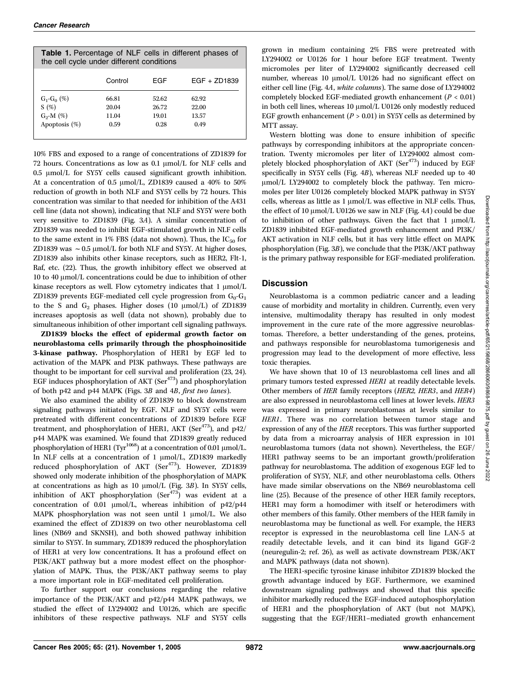| <b>Table 1.</b> Percentage of NLF cells in different phases of<br>the cell cycle under different conditions |         |       |                |
|-------------------------------------------------------------------------------------------------------------|---------|-------|----------------|
|                                                                                                             | Control | FGF   | $EGF + ZD1839$ |
| $G_1$ - $G_0$ (%)                                                                                           | 66.81   | 52.62 | 62.92          |
| S(%)                                                                                                        | 20.04   | 26.72 | 22.00          |
| $G_2-M$ (%)                                                                                                 | 11.04   | 19.01 | 13.57          |
| Apoptosis (%)                                                                                               | 0.59    | 0.28  | 0.49           |

10% FBS and exposed to a range of concentrations of ZD1839 for 72 hours. Concentrations as low as  $0.1 \mu mol/L$  for NLF cells and  $0.5 \text{ }\mu\text{mol/L}$  for SY5Y cells caused significant growth inhibition. At a concentration of 0.5  $\mu$ mol/L, ZD1839 caused a 40% to 50% reduction of growth in both NLF and SY5Y cells by 72 hours. This concentration was similar to that needed for inhibition of the A431 cell line (data not shown), indicating that NLF and SY5Y were both very sensitive to ZD1839 (Fig. 3A). A similar concentration of ZD1839 was needed to inhibit EGF-stimulated growth in NLF cells to the same extent in 1% FBS (data not shown). Thus, the  $IC_{50}$  for ZD1839 was  $\sim$  0.5 µmol/L for both NLF and SY5Y. At higher doses, ZD1839 also inhibits other kinase receptors, such as HER2, Flt-1, Raf, etc. (22). Thus, the growth inhibitory effect we observed at 10 to 40  $\mu$ mol/L concentrations could be due to inhibition of other kinase receptors as well. Flow cytometry indicates that  $1 \mu \text{mol/L}$ ZD1839 prevents EGF-mediated cell cycle progression from  $G_0-G_1$ to the S and  $G_2$  phases. Higher doses (10  $\mu$ mol/L) of ZD1839 increases apoptosis as well (data not shown), probably due to simultaneous inhibition of other important cell signaling pathways.

ZD1839 blocks the effect of epidermal growth factor on neuroblastoma cells primarily through the phosphoinositide 3-kinase pathway. Phosphorylation of HER1 by EGF led to activation of the MAPK and PI3K pathways. These pathways are thought to be important for cell survival and proliferation (23, 24). EGF induces phosphorylation of AKT ( $\text{Ser}^{473}$ ) and phosphorylation of both p42 and p44 MAPK (Figs. 3B and 4B, first two lanes).

We also examined the ability of ZD1839 to block downstream signaling pathways initiated by EGF. NLF and SY5Y cells were pretreated with different concentrations of ZD1839 before EGF treatment, and phosphorylation of HER1, AKT (Ser $473$ ), and p42/ p44 MAPK was examined. We found that ZD1839 greatly reduced phosphorylation of HER1 (Tyr<sup>1068</sup>) at a concentration of 0.01  $\mu$ mol/L. In NLF cells at a concentration of  $1 \text{ }\mu\text{mol/L, ZD1839}$  markedly reduced phosphorylation of AKT (Ser<sup>473</sup>). However, ZD1839 showed only moderate inhibition of the phosphorylation of MAPK at concentrations as high as 10  $\mu$ mol/L (Fig. 3B). In SY5Y cells, inhibition of AKT phosphorylation  $(Ser<sup>473</sup>)$  was evident at a concentration of 0.01  $\mu$ mol/L, whereas inhibition of p42/p44 MAPK phosphorylation was not seen until  $1 \text{ \mu}$ mol/L. We also examined the effect of ZD1839 on two other neuroblastoma cell lines (NB69 and SKNSH), and both showed pathway inhibition similar to SY5Y. In summary, ZD1839 reduced the phosphorylation of HER1 at very low concentrations. It has a profound effect on PI3K/AKT pathway but a more modest effect on the phosphorylation of MAPK. Thus, the PI3K/AKT pathway seems to play a more important role in EGF-meditated cell proliferation.

To further support our conclusions regarding the relative importance of the PI3K/AKT and p42/p44 MAPK pathways, we studied the effect of LY294002 and U0126, which are specific inhibitors of these respective pathways. NLF and SY5Y cells grown in medium containing 2% FBS were pretreated with LY294002 or U0126 for 1 hour before EGF treatment. Twenty micromoles per liter of LY294002 significantly decreased cell number, whereas  $10 \, \mu$ mol/L U0126 had no significant effect on either cell line (Fig. 4A, white columns). The same dose of LY294002 completely blocked EGF-mediated growth enhancement  $(P < 0.01)$ in both cell lines, whereas  $10 \mu \text{mol/L}$  U0126 only modestly reduced EGF growth enhancement ( $P > 0.01$ ) in SY5Y cells as determined by MTT assay.

Western blotting was done to ensure inhibition of specific pathways by corresponding inhibitors at the appropriate concentration. Twenty micromoles per liter of LY294002 almost completely blocked phosphorylation of AKT (Ser<sup>473</sup>) induced by EGF specifically in SY5Y cells (Fig. 4B), whereas NLF needed up to 40 umol/L LY294002 to completely block the pathway. Ten micromoles per liter U0126 completely blocked MAPK pathway in SY5Y cells, whereas as little as  $1 \mu \text{mol/L}$  was effective in NLF cells. Thus, the effect of 10  $\mu$ mol/L U0126 we saw in NLF (Fig. 4A) could be due to inhibition of other pathways. Given the fact that  $1 \mu \text{mol/L}$ ZD1839 inhibited EGF-mediated growth enhancement and PI3K/ AKT activation in NLF cells, but it has very little effect on MAPK phosphorylation (Fig. 3B), we conclude that the PI3K/AKT pathway is the primary pathway responsible for EGF-mediated proliferation.

## **Discussion**

Neuroblastoma is a common pediatric cancer and a leading cause of morbidity and mortality in children. Currently, even very intensive, multimodality therapy has resulted in only modest improvement in the cure rate of the more aggressive neuroblastomas. Therefore, a better understanding of the genes, proteins, and pathways responsible for neuroblastoma tumorigenesis and progression may lead to the development of more effective, less toxic therapies.

We have shown that 10 of 13 neuroblastoma cell lines and all primary tumors tested expressed HER1 at readily detectable levels. Other members of HER family receptors (HER2, HER3, and HER4) are also expressed in neuroblastoma cell lines at lower levels. HER3 was expressed in primary neuroblastomas at levels similar to HER1. There was no correlation between tumor stage and expression of any of the HER receptors. This was further supported by data from a microarray analysis of HER expression in 101 neuroblastoma tumors (data not shown). Nevertheless, the EGF/ HER1 pathway seems to be an important growth/proliferation pathway for neuroblastoma. The addition of exogenous EGF led to proliferation of SY5Y, NLF, and other neuroblastoma cells. Others have made similar observations on the NB69 neuroblastoma cell line (25). Because of the presence of other HER family receptors, HER1 may form a homodimer with itself or heterodimers with other members of this family. Other members of the HER family in neuroblastoma may be functional as well. For example, the HER3 receptor is expressed in the neuroblastoma cell line LAN-5 at readily detectable levels, and it can bind its ligand GGF-2 (neuregulin-2; ref. 26), as well as activate downstream PI3K/AKT and MAPK pathways (data not shown).

The HER1-specific tyrosine kinase inhibitor ZD1839 blocked the growth advantage induced by EGF. Furthermore, we examined downstream signaling pathways and showed that this specific inhibitor markedly reduced the EGF-induced autophosphorylation of HER1 and the phosphorylation of AKT (but not MAPK), suggesting that the EGF/HER1–mediated growth enhancement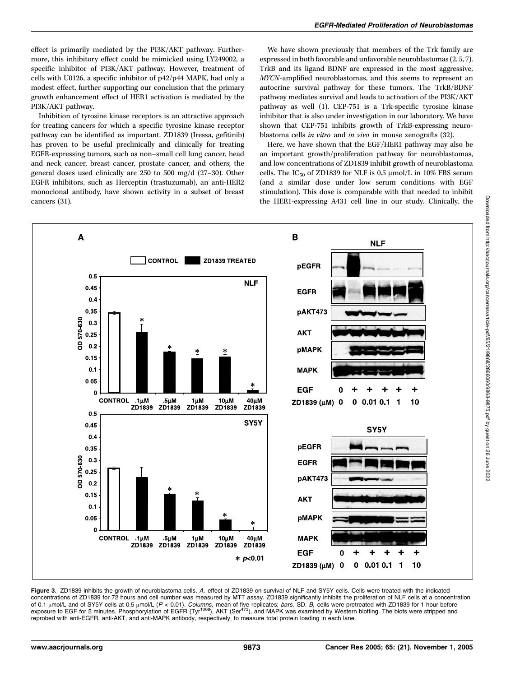effect is primarily mediated by the PI3K/AKT pathway. Furthermore, this inhibitory effect could be mimicked using LY249002, a specific inhibitor of PI3K/AKT pathway. However, treatment of cells with U0126, a specific inhibitor of p42/p44 MAPK, had only a modest effect, further supporting our conclusion that the primary growth enhancement effect of HER1 activation is mediated by the PI3K/AKT pathway.

Inhibition of tyrosine kinase receptors is an attractive approach for treating cancers for which a specific tyrosine kinase receptor pathway can be identified as important. ZD1839 (Iressa, gefitinib) has proven to be useful preclinically and clinically for treating EGFR-expressing tumors, such as non–small cell lung cancer, head and neck cancer, breast cancer, prostate cancer, and others; the general doses used clinically are 250 to 500 mg/d (27–30). Other EGFR inhibitors, such as Herceptin (trastuzumab), an anti-HER2 monoclonal antibody, have shown activity in a subset of breast cancers (31).

We have shown previously that members of the Trk family are expressed in both favorable and unfavorable neuroblastomas (2, 5, 7). TrkB and its ligand BDNF are expressed in the most aggressive, MYCN-amplified neuroblastomas, and this seems to represent an autocrine survival pathway for these tumors. The TrkB/BDNF pathway mediates survival and leads to activation of the PI3K/AKT pathway as well (1). CEP-751 is a Trk-specific tyrosine kinase inhibitor that is also under investigation in our laboratory. We have shown that CEP-751 inhibits growth of TrkB-expressing neuroblastoma cells in vitro and in vivo in mouse xenografts (32).

Here, we have shown that the EGF/HER1 pathway may also be an important growth/proliferation pathway for neuroblastomas, and low concentrations of ZD1839 inhibit growth of neuroblastoma cells. The IC<sub>50</sub> of ZD1839 for NLF is 0.5  $\mu$ mol/L in 10% FBS serum (and a similar dose under low serum conditions with EGF stimulation). This dose is comparable with that needed to inhibit the HER1-expressing A431 cell line in our study. Clinically, the



Figure 3. ZD1839 inhibits the growth of neuroblastoma cells. A, effect of ZD1839 on survival of NLF and SY5Y cells. Cells were treated with the indicated concentrations of ZD1839 for 72 hours and cell number was measured by MTT assay. ZD1839 significantly inhibits the proliferation of NLF cells at a concentration of 0.1  $\mu$ mol/L and of SY5Y cells at 0.5  $\mu$ mol/L (P < 0.01). Columns, mean of five replicates; bars, SD. B, cells were pretreated with ZD1839 for 1 hour before exposure to EGF for 5 minutes. Phosphorylation of EGFR (Tyr<sup>1068</sup>), AKT (Ser<sup>473</sup>), and MAPK was examined by Western blotting. The blots were stripped and reprobed with anti-EGFR, anti-AKT, and anti-MAPK antibody, respectively, to measure total protein loading in each lane.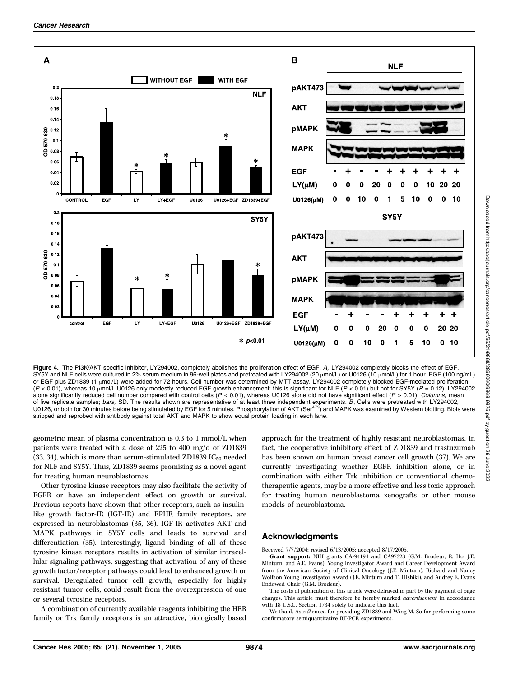

Figure 4. The PI3K/AKT specific inhibitor, LY294002, completely abolishes the proliferation effect of EGF. A, LY294002 completely blocks the effect of EGF. SY5Y and NLF cells were cultured in 2% serum medium in 96-well plates and pretreated with LY294002 (20  $\mu$ mol/L) or U0126 (10  $\mu$ mol/L) for 1 hour. EGF (100 ng/mL) or EGF plus ZD1839 (1 µmol/L) were added for 72 hours. Cell number was determined by MTT assay. LY294002 completely blocked EGF-mediated proliferation  $(P < 0.01)$ , whereas 10  $\mu$ mol/L U0126 only modestly reduced EGF growth enhancement; this is significant for NLF (P < 0.01) but not for SY5Y (P = 0.12). LY294002 alone significantly reduced cell number compared with control cells  $(P < 0.01)$ , whereas U0126 alone did not have significant effect  $(P > 0.01)$ . Columns, mean of five replicate samples; *bars*, SD. The results shown are representative of at least three independent experiments. *B*, Cells were pretreated with LY294002,<br>U0126, or both for 30 minutes before being stimulated by EGF stripped and reprobed with antibody against total AKT and MAPK to show equal protein loading in each lane.

geometric mean of plasma concentration is 0.3 to 1 mmol/L when patients were treated with a dose of 225 to 400 mg/d of ZD1839 (33, 34), which is more than serum-stimulated ZD1839  $IC_{50}$  needed for NLF and SY5Y. Thus, ZD1839 seems promising as a novel agent for treating human neuroblastomas.

Other tyrosine kinase receptors may also facilitate the activity of EGFR or have an independent effect on growth or survival. Previous reports have shown that other receptors, such as insulinlike growth factor-IR (IGF-IR) and EPHR family receptors, are expressed in neuroblastomas (35, 36). IGF-IR activates AKT and MAPK pathways in SY5Y cells and leads to survival and differentiation (35). Interestingly, ligand binding of all of these tyrosine kinase receptors results in activation of similar intracellular signaling pathways, suggesting that activation of any of these growth factor/receptor pathways could lead to enhanced growth or survival. Deregulated tumor cell growth, especially for highly resistant tumor cells, could result from the overexpression of one or several tyrosine receptors.

A combination of currently available reagents inhibiting the HER family or Trk family receptors is an attractive, biologically based approach for the treatment of highly resistant neuroblastomas. In fact, the cooperative inhibitory effect of ZD1839 and trastuzumab has been shown on human breast cancer cell growth (37). We are currently investigating whether EGFR inhibition alone, or in combination with either Trk inhibition or conventional chemotherapeutic agents, may be a more effective and less toxic approach for treating human neuroblastoma xenografts or other mouse models of neuroblastoma.

#### Acknowledgments

Received 7/7/2004; revised 6/13/2005; accepted 8/17/2005.

Grant support: NIH grants CA-94194 and CA97323 (G.M. Brodeur, R. Ho, J.E. Minturn, and A.E. Evans), Young Investigator Award and Career Development Award from the American Society of Clinical Oncology (J.E. Minturn), Richard and Nancy Wolfson Young Investigator Award (J.E. Minturn and T. Hishiki), and Audrey E. Evans Endowed Chair (G.M. Brodeur).

The costs of publication of this article were defrayed in part by the payment of page charges. This article must therefore be hereby marked *advertisement* in accordance with 18 U.S.C. Section 1734 solely to indicate this fact.

We thank AstraZeneca for providing ZD1839 and Wing M. So for performing some confirmatory semiquantitative RT-PCR experiments.